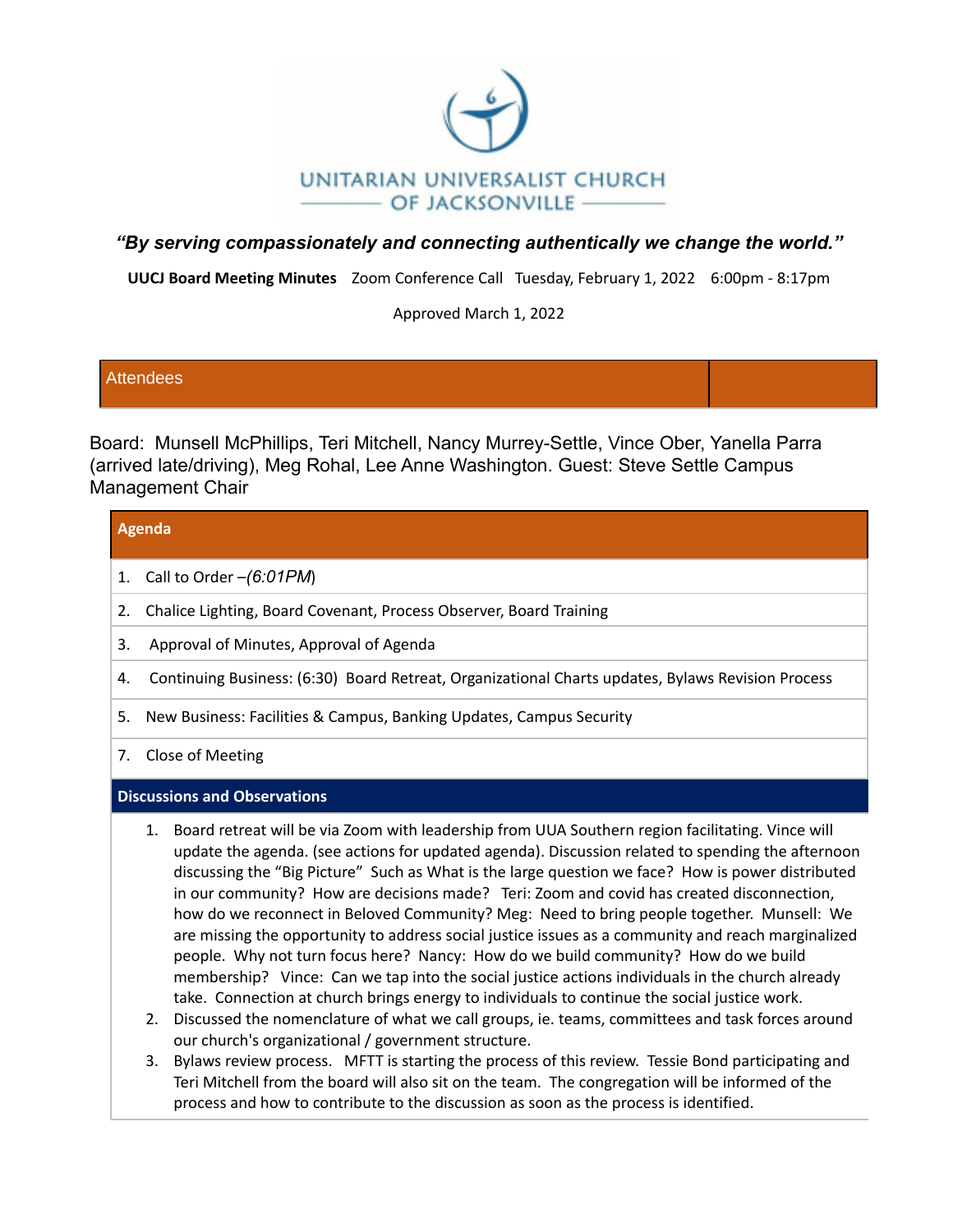

# *"By serving compassionately and connecting authentically we change the world."*

**UUCJ Board Meeting Minutes** Zoom Conference Call Tuesday, February 1, 2022 6:00pm - 8:17pm

Approved March 1, 2022

### **Attendees**

Board: Munsell McPhillips, Teri Mitchell, Nancy Murrey-Settle, Vince Ober, Yanella Parra (arrived late/driving), Meg Rohal, Lee Anne Washington. Guest: Steve Settle Campus Management Chair

### **Agenda**

- 1. Call to Order –*(6:01PM*)
- 2. Chalice Lighting, Board Covenant, Process Observer, Board Training
- 3. Approval of Minutes, Approval of Agenda
- 4. Continuing Business: (6:30) Board Retreat, Organizational Charts updates, Bylaws Revision Process
- 5. New Business: Facilities & Campus, Banking Updates, Campus Security
- 7. Close of Meeting

### **Discussions and Observations**

- 1. Board retreat will be via Zoom with leadership from UUA Southern region facilitating. Vince will update the agenda. (see actions for updated agenda). Discussion related to spending the afternoon discussing the "Big Picture" Such as What is the large question we face? How is power distributed in our community? How are decisions made? Teri: Zoom and covid has created disconnection, how do we reconnect in Beloved Community? Meg: Need to bring people together. Munsell: We are missing the opportunity to address social justice issues as a community and reach marginalized people. Why not turn focus here? Nancy: How do we build community? How do we build membership? Vince: Can we tap into the social justice actions individuals in the church already take. Connection at church brings energy to individuals to continue the social justice work.
- 2. Discussed the nomenclature of what we call groups, ie. teams, committees and task forces around our church's organizational / government structure.
- 3. Bylaws review process. MFTT is starting the process of this review. Tessie Bond participating and Teri Mitchell from the board will also sit on the team. The congregation will be informed of the process and how to contribute to the discussion as soon as the process is identified.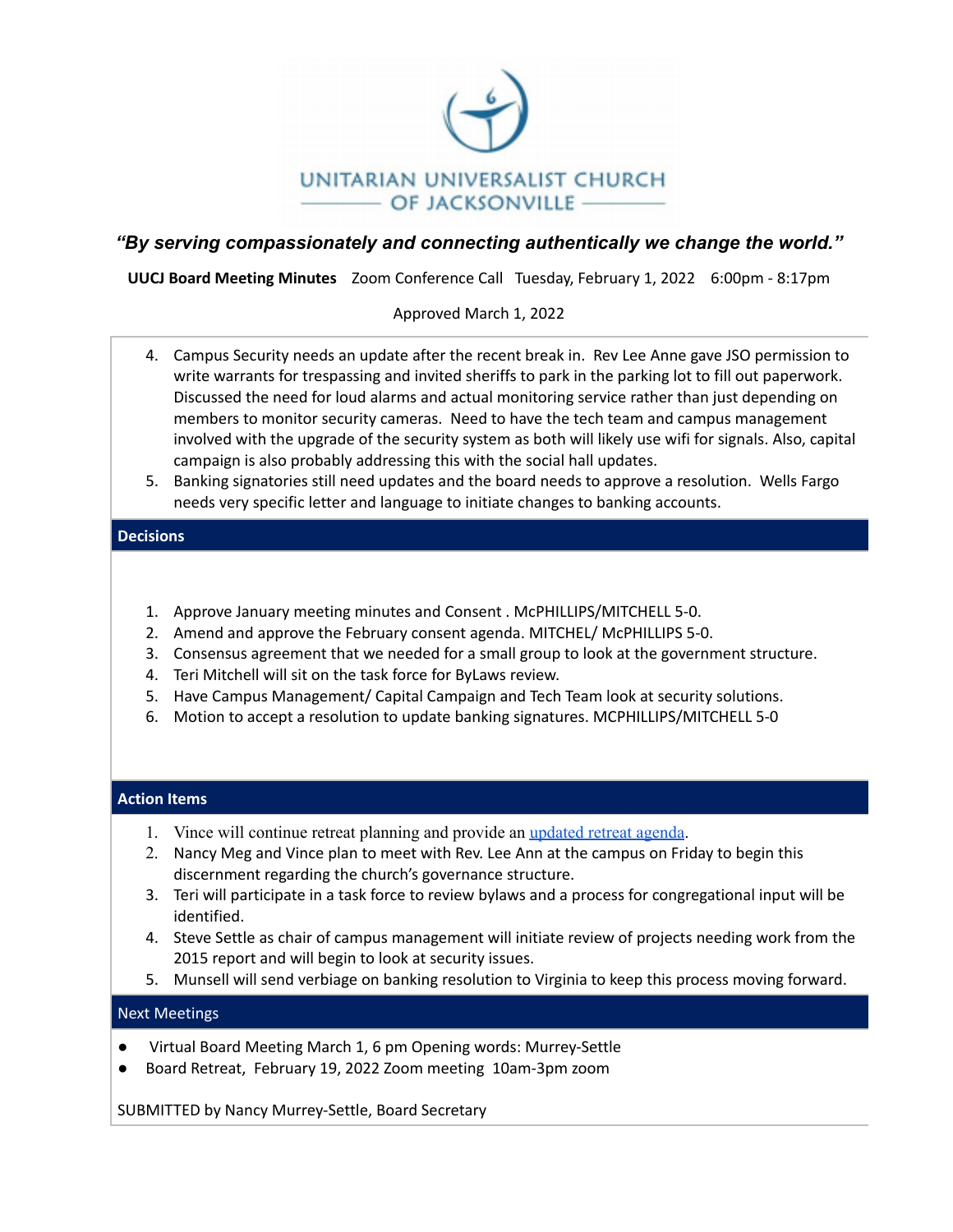

## *"By serving compassionately and connecting authentically we change the world."*

**UUCJ Board Meeting Minutes** Zoom Conference Call Tuesday, February 1, 2022 6:00pm - 8:17pm

### Approved March 1, 2022

- 4. Campus Security needs an update after the recent break in. Rev Lee Anne gave JSO permission to write warrants for trespassing and invited sheriffs to park in the parking lot to fill out paperwork. Discussed the need for loud alarms and actual monitoring service rather than just depending on members to monitor security cameras. Need to have the tech team and campus management involved with the upgrade of the security system as both will likely use wifi for signals. Also, capital campaign is also probably addressing this with the social hall updates.
- 5. Banking signatories still need updates and the board needs to approve a resolution. Wells Fargo needs very specific letter and language to initiate changes to banking accounts.

### **Decisions**

- 1. Approve January meeting minutes and Consent . McPHILLIPS/MITCHELL 5-0.
- 2. Amend and approve the February consent agenda. MITCHEL/ McPHILLIPS 5-0.
- 3. Consensus agreement that we needed for a small group to look at the government structure.
- 4. Teri Mitchell will sit on the task force for ByLaws review.
- 5. Have Campus Management/ Capital Campaign and Tech Team look at security solutions.
- 6. Motion to accept a resolution to update banking signatures. MCPHILLIPS/MITCHELL 5-0

### **Action Items**

- 1. Vince will continue retreat planning and provide an [updated](https://docs.google.com/document/d/1h6zKTvAmwZRA_ZoUsBJxVTP4Vz0wNlmA7E3QzNMQNfE/edit?usp=sharing) retreat agenda.
- 2. Nancy Meg and Vince plan to meet with Rev. Lee Ann at the campus on Friday to begin this discernment regarding the church's governance structure.
- 3. Teri will participate in a task force to review bylaws and a process for congregational input will be identified.
- 4. Steve Settle as chair of campus management will initiate review of projects needing work from the 2015 report and will begin to look at security issues.
- 5. Munsell will send verbiage on banking resolution to Virginia to keep this process moving forward.

### Next Meetings

- Virtual Board Meeting March 1, 6 pm Opening words: Murrey-Settle
- Board Retreat, February 19, 2022 Zoom meeting 10am-3pm zoom

SUBMITTED by Nancy Murrey-Settle, Board Secretary